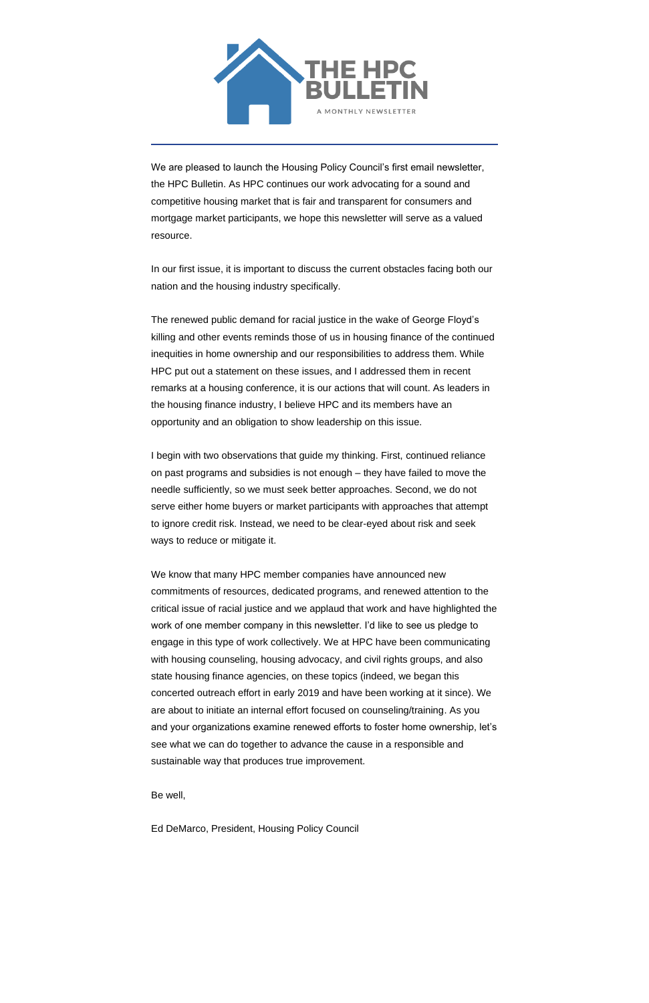

We are pleased to launch the Housing Policy Council's first email newsletter, the HPC Bulletin. As HPC continues our work advocating for a sound and competitive housing market that is fair and transparent for consumers and mortgage market participants, we hope this newsletter will serve as a valued resource.

In our first issue, it is important to discuss the current obstacles facing both our nation and the housing industry specifically.

The renewed public demand for racial justice in the wake of George Floyd's killing and other events reminds those of us in housing finance of the continued inequities in home ownership and our responsibilities to address them. While HPC put out a statement on these issues, and I addressed them in recent remarks at a housing conference, it is our actions that will count. As leaders in the housing finance industry, I believe HPC and its members have an opportunity and an obligation to show leadership on this issue.

I begin with two observations that guide my thinking. First, continued reliance on past programs and subsidies is not enough – they have failed to move the needle sufficiently, so we must seek better approaches. Second, we do not serve either home buyers or market participants with approaches that attempt to ignore credit risk. Instead, we need to be clear-eyed about risk and seek ways to reduce or mitigate it.

We know that many HPC member companies have announced new commitments of resources, dedicated programs, and renewed attention to the critical issue of racial justice and we applaud that work and have highlighted the work of one member company in this newsletter. I'd like to see us pledge to engage in this type of work collectively. We at HPC have been communicating with housing counseling, housing advocacy, and civil rights groups, and also state housing finance agencies, on these topics (indeed, we began this concerted outreach effort in early 2019 and have been working at it since). We are about to initiate an internal effort focused on counseling/training. As you and your organizations examine renewed efforts to foster home ownership, let's

see what we can do together to advance the cause in a responsible and sustainable way that produces true improvement.

Be well,

Ed DeMarco, President, Housing Policy Council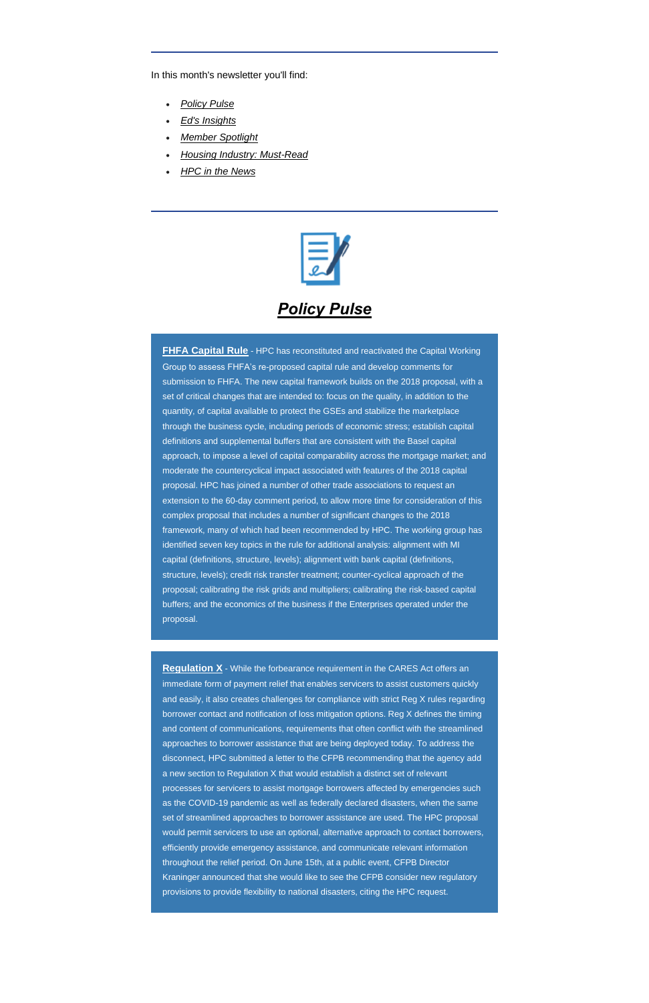In this month's newsletter you'll find:

- *[Policy Pulse](#page-1-0)*
- *[Ed's Insights](#page-3-0)*
- *[Member Spotlight](#page-3-1)*
- *[Housing Industry: Must-Read](#page-3-2)*
- *[HPC in the News](#page-4-0)*



#### *Policy Pulse*

<span id="page-1-0"></span>**FHFA Capital Rule** - HPC has reconstituted and reactivated the Capital Working Group to assess FHFA's re-proposed capital rule and develop comments for submission to FHFA. The new capital framework builds on the 2018 proposal, with a set of critical changes that are intended to: focus on the quality, in addition to the quantity, of capital available to protect the GSEs and stabilize the marketplace through the business cycle, including periods of economic stress; establish capital definitions and supplemental buffers that are consistent with the Basel capital approach, to impose a level of capital comparability across the mortgage market; and moderate the countercyclical impact associated with features of the 2018 capital proposal. HPC has joined a number of other trade associations to request an extension to the 60-day comment period, to allow more time for consideration of this complex proposal that includes a number of significant changes to the 2018 framework, many of which had been recommended by HPC. The working group has identified seven key topics in the rule for additional analysis: alignment with MI capital (definitions, structure, levels); alignment with bank capital (definitions, structure, levels); credit risk transfer treatment; counter-cyclical approach of the proposal; calibrating the risk grids and multipliers; calibrating the risk-based capital buffers; and the economics of the business if the Enterprises operated under the proposal.

**Regulation X** - While the forbearance requirement in the CARES Act offers an immediate form of payment relief that enables servicers to assist customers quickly and easily, it also creates challenges for compliance with strict Reg X rules regarding borrower contact and notification of loss mitigation options. Reg X defines the timing and content of communications, requirements that often conflict with the streamlined

approaches to borrower assistance that are being deployed today. To address the disconnect, HPC submitted a letter to the CFPB recommending that the agency add a new section to Regulation X that would establish a distinct set of relevant processes for servicers to assist mortgage borrowers affected by emergencies such as the COVID-19 pandemic as well as federally declared disasters, when the same set of streamlined approaches to borrower assistance are used. The HPC proposal would permit servicers to use an optional, alternative approach to contact borrowers, efficiently provide emergency assistance, and communicate relevant information throughout the relief period. On June 15th, at a public event, CFPB Director Kraninger announced that she would like to see the CFPB consider new regulatory provisions to provide flexibility to national disasters, citing the HPC request.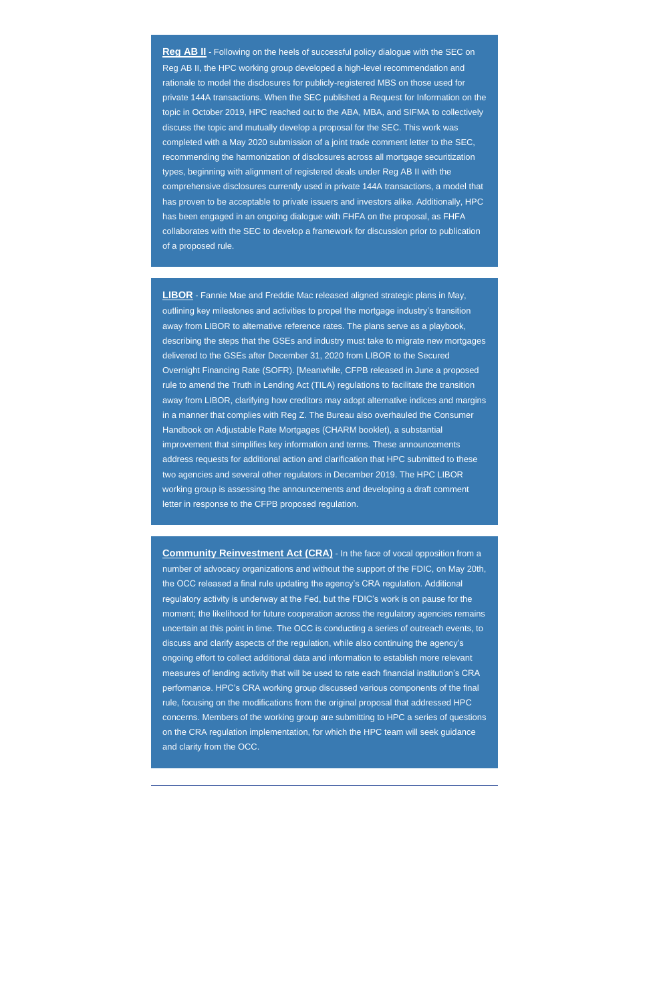**Reg AB II** - Following on the heels of successful policy dialogue with the SEC on Reg AB II, the HPC working group developed a high-level recommendation and rationale to model the disclosures for publicly-registered MBS on those used for private 144A transactions. When the SEC published a Request for Information on the topic in October 2019, HPC reached out to the ABA, MBA, and SIFMA to collectively discuss the topic and mutually develop a proposal for the SEC. This work was completed with a May 2020 submission of a joint trade comment letter to the SEC, recommending the harmonization of disclosures across all mortgage securitization types, beginning with alignment of registered deals under Reg AB II with the comprehensive disclosures currently used in private 144A transactions, a model that has proven to be acceptable to private issuers and investors alike. Additionally, HPC has been engaged in an ongoing dialogue with FHFA on the proposal, as FHFA collaborates with the SEC to develop a framework for discussion prior to publication of a proposed rule.

**LIBOR** - Fannie Mae and Freddie Mac released aligned strategic plans in May, outlining key milestones and activities to propel the mortgage industry's transition away from LIBOR to alternative reference rates. The plans serve as a playbook, describing the steps that the GSEs and industry must take to migrate new mortgages delivered to the GSEs after December 31, 2020 from LIBOR to the Secured Overnight Financing Rate (SOFR). [Meanwhile, CFPB released in June a proposed rule to amend the Truth in Lending Act (TILA) regulations to facilitate the transition away from LIBOR, clarifying how creditors may adopt alternative indices and margins in a manner that complies with Reg Z. The Bureau also overhauled the Consumer Handbook on Adjustable Rate Mortgages (CHARM booklet), a substantial improvement that simplifies key information and terms. These announcements address requests for additional action and clarification that HPC submitted to these two agencies and several other regulators in December 2019. The HPC LIBOR working group is assessing the announcements and developing a draft comment letter in response to the CFPB proposed regulation.

**Community Reinvestment Act (CRA)** - In the face of vocal opposition from a number of advocacy organizations and without the support of the FDIC, on May 20th, the OCC released a final rule updating the agency's CRA regulation. Additional regulatory activity is underway at the Fed, but the FDIC's work is on pause for the moment; the likelihood for future cooperation across the regulatory agencies remains uncertain at this point in time. The OCC is conducting a series of outreach events, to discuss and clarify aspects of the regulation, while also continuing the agency's ongoing effort to collect additional data and information to establish more relevant measures of lending activity that will be used to rate each financial institution's CRA performance. HPC's CRA working group discussed various components of the final rule, focusing on the modifications from the original proposal that addressed HPC concerns. Members of the working group are submitting to HPC a series of questions on the CRA regulation implementation, for which the HPC team will seek guidance

and clarity from the OCC.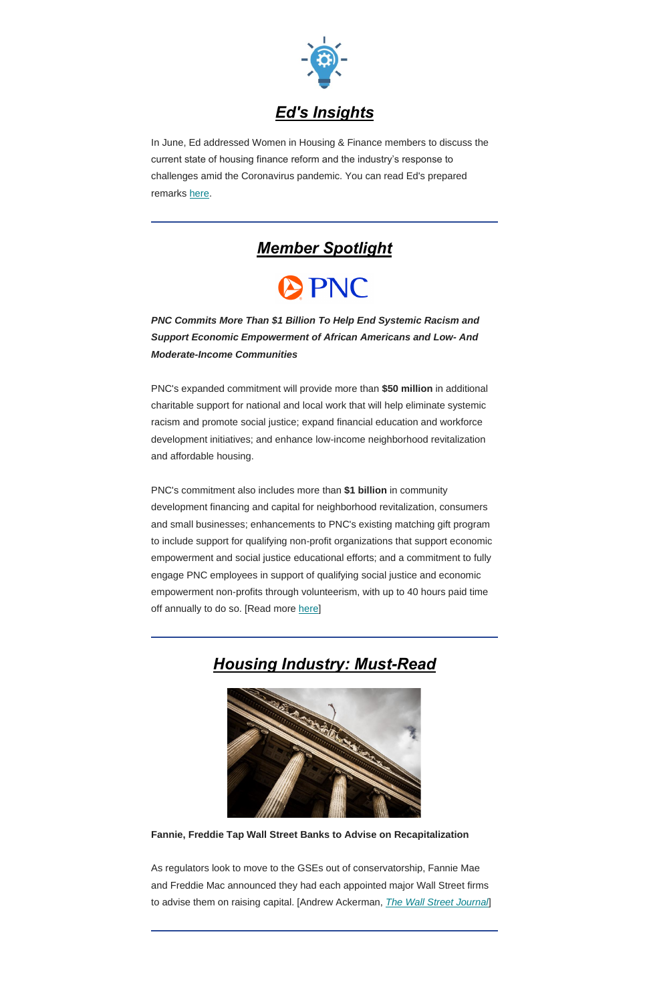

<span id="page-3-0"></span>In June, Ed addressed Women in Housing & Finance members to discuss the current state of housing finance reform and the industry's response to challenges amid the Coronavirus pandemic. You can read Ed's prepared remarks [here.](https://housingpolicycouncil.us4.list-manage.com/track/click?u=5140623077e4523696cc45400&id=efb576df6e&e=c1f6e13f3b)

### *Member Spotlight*

# **APNC**

<span id="page-3-1"></span>*PNC Commits More Than \$1 Billion To Help End Systemic Racism and Support Economic Empowerment of African Americans and Low- And Moderate-Income Communities*

PNC's commitment also includes more than **\$1 billion** in community development financing and capital for neighborhood revitalization, consumers and small businesses; enhancements to PNC's existing matching gift program to include support for qualifying non-profit organizations that support economic empowerment and social justice educational efforts; and a commitment to fully engage PNC employees in support of qualifying social justice and economic empowerment non-profits through volunteerism, with up to 40 hours paid time off annually to do so. [Read more [here\]](https://housingpolicycouncil.us4.list-manage.com/track/click?u=5140623077e4523696cc45400&id=8c074ea303&e=c1f6e13f3b)

PNC's expanded commitment will provide more than **\$50 million** in additional charitable support for national and local work that will help eliminate systemic racism and promote social justice; expand financial education and workforce development initiatives; and enhance low-income neighborhood revitalization and affordable housing.

## <span id="page-3-2"></span>*Housing Industry: Must-Read*



#### **Fannie, Freddie Tap Wall Street Banks to Advise on Recapitalization**

As regulators look to move to the GSEs out of conservatorship, Fannie Mae and Freddie Mac announced they had each appointed major Wall Street firms to advise them on raising capital. [Andrew Ackerman, *[The Wall Street Journal](https://housingpolicycouncil.us4.list-manage.com/track/click?u=5140623077e4523696cc45400&id=4bf2edc5c2&e=c1f6e13f3b)*]